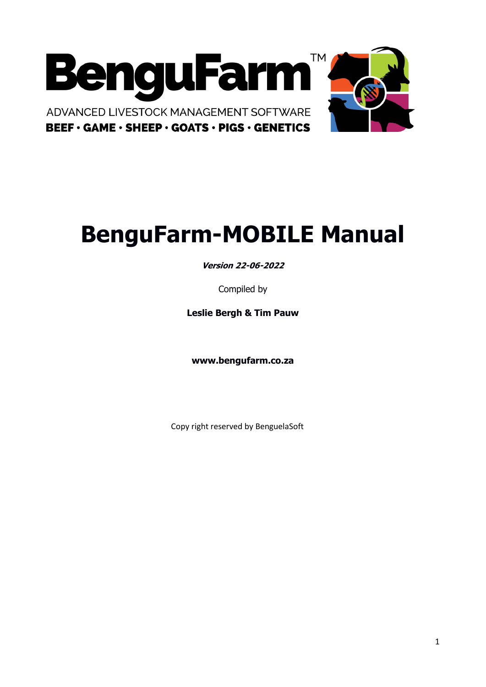

# **BenguFarm-MOBILE Manual**

**Version 22-06-2022**

Compiled by

**Leslie Bergh & Tim Pauw**

**www.bengufarm.co.za**

Copy right reserved by BenguelaSoft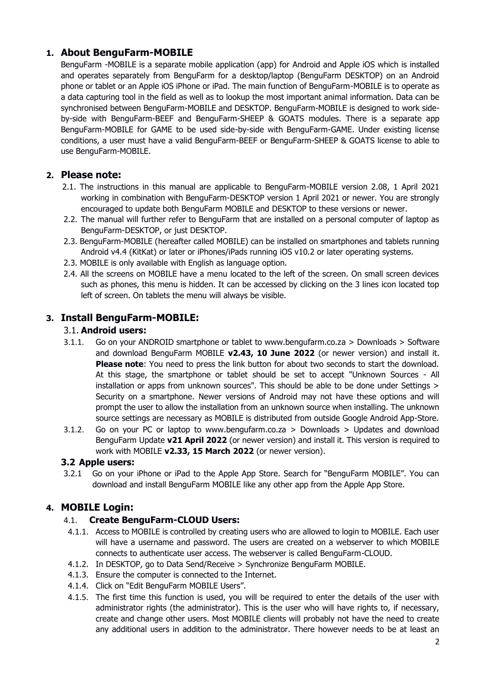# **1. About BenguFarm-MOBILE**

BenguFarm -MOBILE is a separate mobile application (app) for Android and Apple iOS which is installed and operates separately from BenguFarm for a desktop/laptop (BenguFarm DESKTOP) on an Android phone or tablet or an Apple iOS iPhone or iPad. The main function of BenguFarm-MOBILE is to operate as a data capturing tool in the field as well as to lookup the most important animal information. Data can be synchronised between BenguFarm-MOBILE and DESKTOP. BenguFarm-MOBILE is designed to work sideby-side with BenguFarm-BEEF and BenguFarm-SHEEP & GOATS modules. There is a separate app BenguFarm-MOBILE for GAME to be used side-by-side with BenguFarm-GAME. Under existing license conditions, a user must have a valid BenguFarm-BEEF or BenguFarm-SHEEP & GOATS license to able to use BenguFarm-MOBILE.

# **2. Please note:**

- 2.1. The instructions in this manual are applicable to BenguFarm-MOBILE version 2.08, 1 April 2021 working in combination with BenguFarm-DESKTOP version 1 April 2021 or newer. You are strongly encouraged to update both BenguFarm MOBILE and DESKTOP to these versions or newer.
- 2.2. The manual will further refer to BenguFarm that are installed on a personal computer of laptop as BenguFarm-DESKTOP, or just DESKTOP.
- 2.3. BenguFarm-MOBILE (hereafter called MOBILE) can be installed on smartphones and tablets running Android v4.4 (KitKat) or later or iPhones/iPads running iOS v10.2 or later operating systems.
- 2.3. MOBILE is only available with English as language option.
- 2.4. All the screens on MOBILE have a menu located to the left of the screen. On small screen devices such as phones, this menu is hidden. It can be accessed by clicking on the 3 lines icon located top left of screen. On tablets the menu will always be visible.

# **3. Install BenguFarm-MOBILE:**

#### 3.1. **Android users:**

- 3.1.1. Go on your ANDROID smartphone or tablet to www.bengufarm.co.za > Downloads > Software and download BenguFarm MOBILE **v2.43, 10 June 2022** (or newer version) and install it. **Please note**: You need to press the link button for about two seconds to start the download. At this stage, the smartphone or tablet should be set to accept "Unknown Sources - All installation or apps from unknown sources". This should be able to be done under Settings > Security on a smartphone. Newer versions of Android may not have these options and will prompt the user to allow the installation from an unknown source when installing. The unknown source settings are necessary as MOBILE is distributed from outside Google Android App-Store.
- 3.1.2. Go on your PC or laptop to www.bengufarm.co.za > Downloads > Updates and download BenguFarm Update **v21 April 2022** (or newer version) and install it. This version is required to work with MOBILE **v2.33, 15 March 2022** (or newer version).

#### **3.2 Apple users:**

3.2.1 Go on your iPhone or iPad to the Apple App Store. Search for "BenguFarm MOBILE". You can download and install BenguFarm MOBILE like any other app from the Apple App Store.

# **4. MOBILE Login:**

# 4.1. **Create BenguFarm-CLOUD Users:**

- 4.1.1. Access to MOBILE is controlled by creating users who are allowed to login to MOBILE. Each user will have a username and password. The users are created on a webserver to which MOBILE connects to authenticate user access. The webserver is called BenguFarm-CLOUD.
- 4.1.2. In DESKTOP, go to Data Send/Receive > Synchronize BenguFarm MOBILE.
- 4.1.3. Ensure the computer is connected to the Internet.
- 4.1.4. Click on "Edit BenguFarm MOBILE Users".
- 4.1.5. The first time this function is used, you will be required to enter the details of the user with administrator rights (the administrator). This is the user who will have rights to, if necessary, create and change other users. Most MOBILE clients will probably not have the need to create any additional users in addition to the administrator. There however needs to be at least an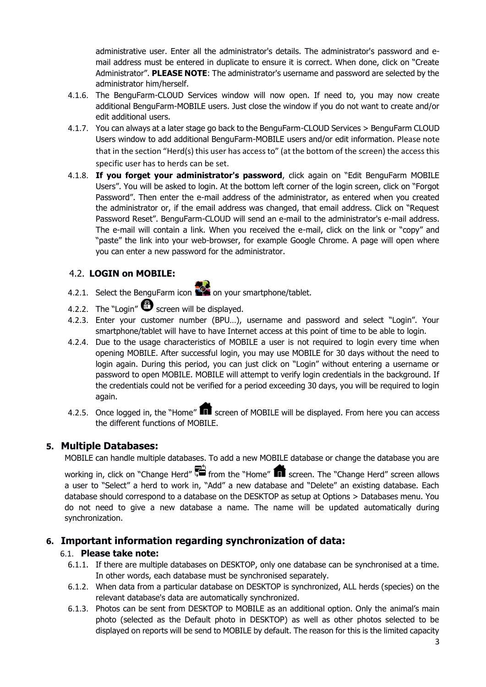administrative user. Enter all the administrator's details. The administrator's password and email address must be entered in duplicate to ensure it is correct. When done, click on "Create Administrator". **PLEASE NOTE**: The administrator's username and password are selected by the administrator him/herself.

- 4.1.6. The BenguFarm-CLOUD Services window will now open. If need to, you may now create additional BenguFarm-MOBILE users. Just close the window if you do not want to create and/or edit additional users.
- 4.1.7. You can always at a later stage go back to the BenguFarm-CLOUD Services > BenguFarm CLOUD Users window to add additional BenguFarm-MOBILE users and/or edit information. Please note that in the section "Herd(s) this user has access to" (at the bottom of the screen) the access this specific user has to herds can be set.
- 4.1.8. **If you forget your administrator's password**, click again on "Edit BenguFarm MOBILE Users". You will be asked to login. At the bottom left corner of the login screen, click on "Forgot Password". Then enter the e-mail address of the administrator, as entered when you created the administrator or, if the email address was changed, that email address. Click on "Request Password Reset". BenguFarm-CLOUD will send an e-mail to the administrator's e-mail address. The e-mail will contain a link. When you received the e-mail, click on the link or "copy" and "paste" the link into your web-browser, for example Google Chrome. A page will open where you can enter a new password for the administrator.

# 4.2. **LOGIN on MOBILE:**

- 4.2.1. Select the BenguFarm icon  $\mathbb{R}^2$  on your smartphone/tablet.
- 4.2.2. The "Login"  $\bigoplus$  screen will be displayed.
- 4.2.3. Enter your customer number (BPU…), username and password and select "Login". Your smartphone/tablet will have to have Internet access at this point of time to be able to login.
- 4.2.4. Due to the usage characteristics of MOBILE a user is not required to login every time when opening MOBILE. After successful login, you may use MOBILE for 30 days without the need to login again. During this period, you can just click on "Login" without entering a username or password to open MOBILE. MOBILE will attempt to verify login credentials in the background. If the credentials could not be verified for a period exceeding 30 days, you will be required to login again.
- 4.2.5. Once logged in, the "Home"  $\blacksquare$  screen of MOBILE will be displayed. From here you can access the different functions of MOBILE.

# **5. Multiple Databases:**

MOBILE can handle multiple databases. To add a new MOBILE database or change the database you are

working in, click on "Change Herd"  $\overline{S}$  from the "Home" **n** screen. The "Change Herd" screen allows a user to "Select" a herd to work in, "Add" a new database and "Delete" an existing database. Each database should correspond to a database on the DESKTOP as setup at Options > Databases menu. You do not need to give a new database a name. The name will be updated automatically during synchronization.

# **6. Important information regarding synchronization of data:**

# 6.1. **Please take note:**

- 6.1.1. If there are multiple databases on DESKTOP, only one database can be synchronised at a time. In other words, each database must be synchronised separately.
- 6.1.2. When data from a particular database on DESKTOP is synchronized, ALL herds (species) on the relevant database's data are automatically synchronized.
- 6.1.3. Photos can be sent from DESKTOP to MOBILE as an additional option. Only the animal's main photo (selected as the Default photo in DESKTOP) as well as other photos selected to be displayed on reports will be send to MOBILE by default. The reason for this is the limited capacity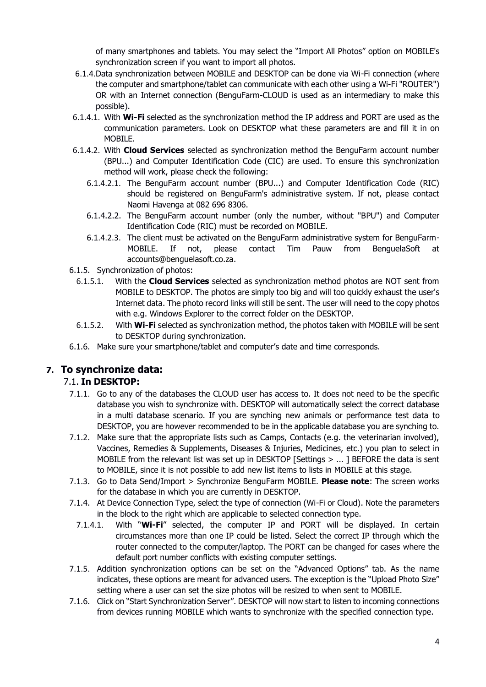of many smartphones and tablets. You may select the "Import All Photos" option on MOBILE's synchronization screen if you want to import all photos.

- 6.1.4.Data synchronization between MOBILE and DESKTOP can be done via Wi-Fi connection (where the computer and smartphone/tablet can communicate with each other using a Wi-Fi "ROUTER") OR with an Internet connection (BenguFarm-CLOUD is used as an intermediary to make this possible).
- 6.1.4.1. With **Wi-Fi** selected as the synchronization method the IP address and PORT are used as the communication parameters. Look on DESKTOP what these parameters are and fill it in on MOBILE.
- 6.1.4.2. With **Cloud Services** selected as synchronization method the BenguFarm account number (BPU...) and Computer Identification Code (CIC) are used. To ensure this synchronization method will work, please check the following:
	- 6.1.4.2.1. The BenguFarm account number (BPU...) and Computer Identification Code (RIC) should be registered on BenguFarm's administrative system. If not, please contact Naomi Havenga at 082 696 8306.
	- 6.1.4.2.2. The BenguFarm account number (only the number, without "BPU") and Computer Identification Code (RIC) must be recorded on MOBILE.
	- 6.1.4.2.3. The client must be activated on the BenguFarm administrative system for BenguFarm-MOBILE. If not, please contact Tim Pauw from BenguelaSoft at accounts@benguelasoft.co.za.
- 6.1.5. Synchronization of photos:
	- 6.1.5.1. With the **Cloud Services** selected as synchronization method photos are NOT sent from MOBILE to DESKTOP. The photos are simply too big and will too quickly exhaust the user's Internet data. The photo record links will still be sent. The user will need to the copy photos with e.g. Windows Explorer to the correct folder on the DESKTOP.
	- 6.1.5.2. With **Wi-Fi** selected as synchronization method, the photos taken with MOBILE will be sent to DESKTOP during synchronization.
- 6.1.6. Make sure your smartphone/tablet and computer's date and time corresponds.

# **7. To synchronize data:**

# 7.1. **In DESKTOP:**

- 7.1.1. Go to any of the databases the CLOUD user has access to. It does not need to be the specific database you wish to synchronize with. DESKTOP will automatically select the correct database in a multi database scenario. If you are synching new animals or performance test data to DESKTOP, you are however recommended to be in the applicable database you are synching to.
- 7.1.2. Make sure that the appropriate lists such as Camps, Contacts (e.g. the veterinarian involved), Vaccines, Remedies & Supplements, Diseases & Injuries, Medicines, etc.) you plan to select in MOBILE from the relevant list was set up in DESKTOP [Settings > ... ] BEFORE the data is sent to MOBILE, since it is not possible to add new list items to lists in MOBILE at this stage.
- 7.1.3. Go to Data Send/Import > Synchronize BenguFarm MOBILE. **Please note**: The screen works for the database in which you are currently in DESKTOP.
- 7.1.4. At Device Connection Type, select the type of connection (Wi-Fi or Cloud). Note the parameters in the block to the right which are applicable to selected connection type.
	- 7.1.4.1. With "**Wi-Fi**" selected, the computer IP and PORT will be displayed. In certain circumstances more than one IP could be listed. Select the correct IP through which the router connected to the computer/laptop. The PORT can be changed for cases where the default port number conflicts with existing computer settings.
- 7.1.5. Addition synchronization options can be set on the "Advanced Options" tab. As the name indicates, these options are meant for advanced users. The exception is the "Upload Photo Size" setting where a user can set the size photos will be resized to when sent to MOBILE.
- 7.1.6. Click on "Start Synchronization Server". DESKTOP will now start to listen to incoming connections from devices running MOBILE which wants to synchronize with the specified connection type.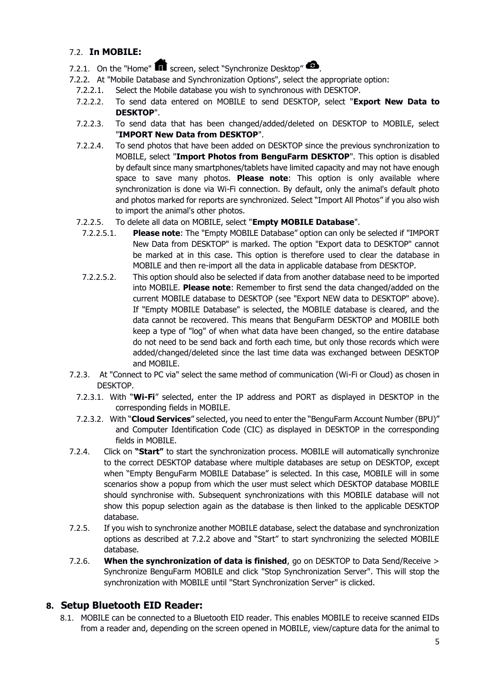# 7.2. **In MOBILE:**

- 7.2.1. On the "Home"  $\blacksquare$  screen, select "Synchronize Desktop"  $\clubsuit$ .
- 7.2.2. At "Mobile Database and Synchronization Options", select the appropriate option:
	- 7.2.2.1. Select the Mobile database you wish to synchronous with DESKTOP.
	- 7.2.2.2. To send data entered on MOBILE to send DESKTOP, select "**Export New Data to DESKTOP**".
	- 7.2.2.3. To send data that has been changed/added/deleted on DESKTOP to MOBILE, select "**IMPORT New Data from DESKTOP**".
	- 7.2.2.4. To send photos that have been added on DESKTOP since the previous synchronization to MOBILE, select "**Import Photos from BenguFarm DESKTOP**". This option is disabled by default since many smartphones/tablets have limited capacity and may not have enough space to save many photos. **Please note**: This option is only available where synchronization is done via Wi-Fi connection. By default, only the animal's default photo and photos marked for reports are synchronized. Select "Import All Photos" if you also wish to import the animal's other photos.
	- 7.2.2.5. To delete all data on MOBILE, select "**Empty MOBILE Database**".
		- 7.2.2.5.1. **Please note**: The "Empty MOBILE Database" option can only be selected if "IMPORT New Data from DESKTOP" is marked. The option "Export data to DESKTOP" cannot be marked at in this case. This option is therefore used to clear the database in MOBILE and then re-import all the data in applicable database from DESKTOP.
		- 7.2.2.5.2. This option should also be selected if data from another database need to be imported into MOBILE. **Please note**: Remember to first send the data changed/added on the current MOBILE database to DESKTOP (see "Export NEW data to DESKTOP" above). If "Empty MOBILE Database" is selected, the MOBILE database is cleared, and the data cannot be recovered. This means that BenguFarm DESKTOP and MOBILE both keep a type of "log" of when what data have been changed, so the entire database do not need to be send back and forth each time, but only those records which were added/changed/deleted since the last time data was exchanged between DESKTOP and MOBILE.
- 7.2.3. At "Connect to PC via" select the same method of communication (Wi-Fi or Cloud) as chosen in DESKTOP.
- 7.2.3.1. With "**Wi-Fi**" selected, enter the IP address and PORT as displayed in DESKTOP in the corresponding fields in MOBILE.
- 7.2.3.2. With "**Cloud Services**" selected, you need to enter the "BenguFarm Account Number (BPU)" and Computer Identification Code (CIC) as displayed in DESKTOP in the corresponding fields in MOBILE.
- 7.2.4. Click on **"Start"** to start the synchronization process. MOBILE will automatically synchronize to the correct DESKTOP database where multiple databases are setup on DESKTOP, except when "Empty BenguFarm MOBILE Database" is selected. In this case, MOBILE will in some scenarios show a popup from which the user must select which DESKTOP database MOBILE should synchronise with. Subsequent synchronizations with this MOBILE database will not show this popup selection again as the database is then linked to the applicable DESKTOP database.
- 7.2.5. If you wish to synchronize another MOBILE database, select the database and synchronization options as described at 7.2.2 above and "Start" to start synchronizing the selected MOBILE database.
- 7.2.6. **When the synchronization of data is finished**, go on DESKTOP to Data Send/Receive > Synchronize BenguFarm MOBILE and click "Stop Synchronization Server". This will stop the synchronization with MOBILE until "Start Synchronization Server" is clicked.

# **8. Setup Bluetooth EID Reader:**

8.1. MOBILE can be connected to a Bluetooth EID reader. This enables MOBILE to receive scanned EIDs from a reader and, depending on the screen opened in MOBILE, view/capture data for the animal to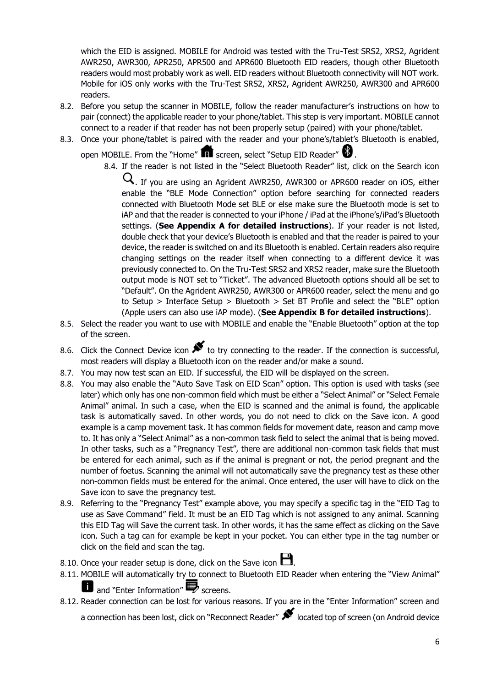which the EID is assigned. MOBILE for Android was tested with the Tru-Test SRS2, XRS2, Agrident AWR250, AWR300, APR250, APR500 and APR600 Bluetooth EID readers, though other Bluetooth readers would most probably work as well. EID readers without Bluetooth connectivity will NOT work. Mobile for iOS only works with the Tru-Test SRS2, XRS2, Agrident AWR250, AWR300 and APR600 readers.

- 8.2. Before you setup the scanner in MOBILE, follow the reader manufacturer's instructions on how to pair (connect) the applicable reader to your phone/tablet. This step is very important. MOBILE cannot connect to a reader if that reader has not been properly setup (paired) with your phone/tablet.
- 8.3. Once your phone/tablet is paired with the reader and your phone's/tablet's Bluetooth is enabled,

open MOBILE. From the "Home"  $\blacksquare$  screen, select "Setup EID Reader"  $\clubsuit$ .

8.4. If the reader is not listed in the "Select Bluetooth Reader" list, click on the Search icon

 $\mathbf Q$ . If you are using an Agrident AWR250, AWR300 or APR600 reader on iOS, either enable the "BLE Mode Connection" option before searching for connected readers connected with Bluetooth Mode set BLE or else make sure the Bluetooth mode is set to iAP and that the reader is connected to your iPhone / iPad at the iPhone's/iPad's Bluetooth settings. (**See Appendix A for detailed instructions**). If your reader is not listed, double check that your device's Bluetooth is enabled and that the reader is paired to your device, the reader is switched on and its Bluetooth is enabled. Certain readers also require changing settings on the reader itself when connecting to a different device it was previously connected to. On the Tru-Test SRS2 and XRS2 reader, make sure the Bluetooth output mode is NOT set to "Ticket". The advanced Bluetooth options should all be set to "Default". On the Agrident AWR250, AWR300 or APR600 reader, select the menu and go to Setup > Interface Setup > Bluetooth > Set BT Profile and select the "BLE" option (Apple users can also use iAP mode). (**See Appendix B for detailed instructions**).

- 8.5. Select the reader you want to use with MOBILE and enable the "Enable Bluetooth" option at the top of the screen.
- 8.6. Click the Connect Device icon  $\blacktriangleright$  to try connecting to the reader. If the connection is successful, most readers will display a Bluetooth icon on the reader and/or make a sound.
- 8.7. You may now test scan an EID. If successful, the EID will be displayed on the screen.
- 8.8. You may also enable the "Auto Save Task on EID Scan" option. This option is used with tasks (see later) which only has one non-common field which must be either a "Select Animal" or "Select Female Animal" animal. In such a case, when the EID is scanned and the animal is found, the applicable task is automatically saved. In other words, you do not need to click on the Save icon. A good example is a camp movement task. It has common fields for movement date, reason and camp move to. It has only a "Select Animal" as a non-common task field to select the animal that is being moved. In other tasks, such as a "Pregnancy Test", there are additional non-common task fields that must be entered for each animal, such as if the animal is pregnant or not, the period pregnant and the number of foetus. Scanning the animal will not automatically save the pregnancy test as these other non-common fields must be entered for the animal. Once entered, the user will have to click on the Save icon to save the pregnancy test.
- 8.9. Referring to the "Pregnancy Test" example above, you may specify a specific tag in the "EID Tag to use as Save Command" field. It must be an EID Tag which is not assigned to any animal. Scanning this EID Tag will Save the current task. In other words, it has the same effect as clicking on the Save icon. Such a tag can for example be kept in your pocket. You can either type in the tag number or click on the field and scan the tag.
- 8.10. Once your reader setup is done, click on the Save icon  $\Box$ .
- 8.11. MOBILE will automatically try to connect to Bluetooth EID Reader when entering the "View Animal"  $\blacksquare$  and "Enter Information"  $\blacksquare$  screens.
- 8.12. Reader connection can be lost for various reasons. If you are in the "Enter Information" screen and a connection has been lost, click on "Reconnect Reader"  $\blacktriangleright$  located top of screen (on Android device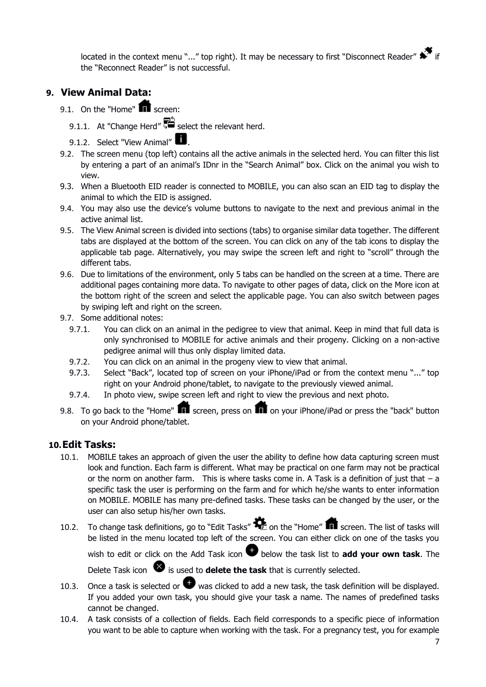located in the context menu "..." top right). It may be necessary to first "Disconnect Reader"  $\overrightarrow{ }$  if the "Reconnect Reader" is not successful.

# **9. View Animal Data:**

- 9.1. On the "Home"  $\blacksquare$  screen:
	- 9.1.1. At "Change Herd"  $\overline{\mathbf{S}}$  select the relevant herd.
	- 9.1.2. Select "View Animal"  $\blacksquare$ .
- 9.2. The screen menu (top left) contains all the active animals in the selected herd. You can filter this list by entering a part of an animal's IDnr in the "Search Animal" box. Click on the animal you wish to view.
- 9.3. When a Bluetooth EID reader is connected to MOBILE, you can also scan an EID tag to display the animal to which the EID is assigned.
- 9.4. You may also use the device's volume buttons to navigate to the next and previous animal in the active animal list.
- 9.5. The View Animal screen is divided into sections (tabs) to organise similar data together. The different tabs are displayed at the bottom of the screen. You can click on any of the tab icons to display the applicable tab page. Alternatively, you may swipe the screen left and right to "scroll" through the different tabs.
- 9.6. Due to limitations of the environment, only 5 tabs can be handled on the screen at a time. There are additional pages containing more data. To navigate to other pages of data, click on the More icon at the bottom right of the screen and select the applicable page. You can also switch between pages by swiping left and right on the screen.
- 9.7. Some additional notes:
	- 9.7.1. You can click on an animal in the pedigree to view that animal. Keep in mind that full data is only synchronised to MOBILE for active animals and their progeny. Clicking on a non-active pedigree animal will thus only display limited data.
	- 9.7.2. You can click on an animal in the progeny view to view that animal.
	- 9.7.3. Select "Back", located top of screen on your iPhone/iPad or from the context menu "..." top right on your Android phone/tablet, to navigate to the previously viewed animal.
	- 9.7.4. In photo view, swipe screen left and right to view the previous and next photo.
- 9.8. To go back to the "Home"  $\blacksquare$  screen, press on  $\blacksquare$  on your iPhone/iPad or press the "back" button on your Android phone/tablet.

# **10.Edit Tasks:**

- 10.1. MOBILE takes an approach of given the user the ability to define how data capturing screen must look and function. Each farm is different. What may be practical on one farm may not be practical or the norm on another farm. This is where tasks come in. A Task is a definition of just that  $-$  a specific task the user is performing on the farm and for which he/she wants to enter information on MOBILE. MOBILE has many pre-defined tasks. These tasks can be changed by the user, or the user can also setup his/her own tasks.
- 10.2. To change task definitions, go to "Edit Tasks"  $\bigotimes$  on the "Home" in screen. The list of tasks will be listed in the menu located top left of the screen. You can either click on one of the tasks you wish to edit or click on the Add Task icon **b** below the task list to **add your own task**. The

Delete Task icon  $\bullet$  is used to **delete the task** that is currently selected.

- 10.3. Once a task is selected or  $\bigcirc$  was clicked to add a new task, the task definition will be displayed. If you added your own task, you should give your task a name. The names of predefined tasks cannot be changed.
- 10.4. A task consists of a collection of fields. Each field corresponds to a specific piece of information you want to be able to capture when working with the task. For a pregnancy test, you for example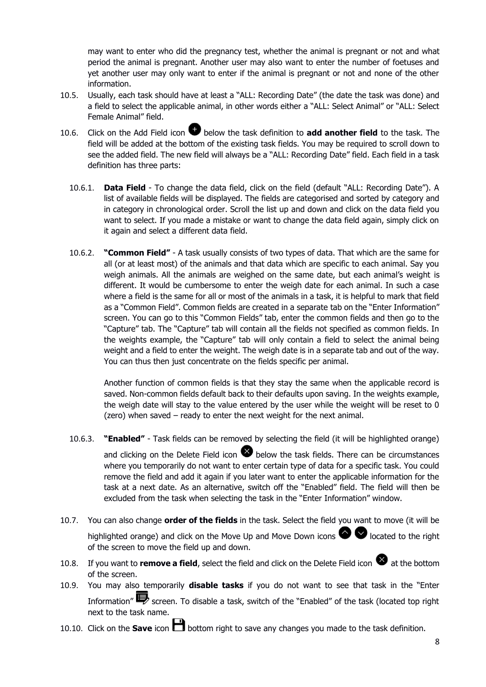may want to enter who did the pregnancy test, whether the animal is pregnant or not and what period the animal is pregnant. Another user may also want to enter the number of foetuses and yet another user may only want to enter if the animal is pregnant or not and none of the other information.

- 10.5. Usually, each task should have at least a "ALL: Recording Date" (the date the task was done) and a field to select the applicable animal, in other words either a "ALL: Select Animal" or "ALL: Select Female Animal" field.
- 10.6. Click on the Add Field icon **b** below the task definition to **add another field** to the task. The field will be added at the bottom of the existing task fields. You may be required to scroll down to see the added field. The new field will always be a "ALL: Recording Date" field. Each field in a task definition has three parts:
	- 10.6.1. **Data Field**  To change the data field, click on the field (default "ALL: Recording Date"). A list of available fields will be displayed. The fields are categorised and sorted by category and in category in chronological order. Scroll the list up and down and click on the data field you want to select. If you made a mistake or want to change the data field again, simply click on it again and select a different data field.
	- 10.6.2. **"Common Field"**  A task usually consists of two types of data. That which are the same for all (or at least most) of the animals and that data which are specific to each animal. Say you weigh animals. All the animals are weighed on the same date, but each animal's weight is different. It would be cumbersome to enter the weigh date for each animal. In such a case where a field is the same for all or most of the animals in a task, it is helpful to mark that field as a "Common Field". Common fields are created in a separate tab on the "Enter Information" screen. You can go to this "Common Fields" tab, enter the common fields and then go to the "Capture" tab. The "Capture" tab will contain all the fields not specified as common fields. In the weights example, the "Capture" tab will only contain a field to select the animal being weight and a field to enter the weight. The weigh date is in a separate tab and out of the way. You can thus then just concentrate on the fields specific per animal.

Another function of common fields is that they stay the same when the applicable record is saved. Non-common fields default back to their defaults upon saving. In the weights example, the weigh date will stay to the value entered by the user while the weight will be reset to 0 (zero) when saved – ready to enter the next weight for the next animal.

10.6.3. **"Enabled"** - Task fields can be removed by selecting the field (it will be highlighted orange)

and clicking on the Delete Field icon  $\bullet$  below the task fields. There can be circumstances where you temporarily do not want to enter certain type of data for a specific task. You could remove the field and add it again if you later want to enter the applicable information for the task at a next date. As an alternative, switch off the "Enabled" field. The field will then be excluded from the task when selecting the task in the "Enter Information" window.

- 10.7. You can also change **order of the fields** in the task. Select the field you want to move (it will be highlighted orange) and click on the Move Up and Move Down icons  $\bullet \bullet$  located to the right of the screen to move the field up and down.
- 10.8. If you want to **remove a field**, select the field and click on the Delete Field icon **a**t the bottom of the screen.
- 10.9. You may also temporarily **disable tasks** if you do not want to see that task in the "Enter Information" $\blacksquare$  screen. To disable a task, switch of the "Enabled" of the task (located top right next to the task name.
- 10.10. Click on the **Save** icon **buttom** right to save any changes you made to the task definition.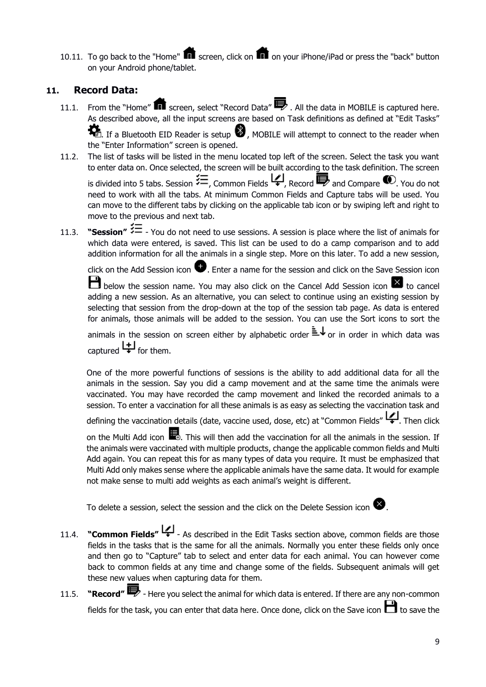10.11. To go back to the "Home"  $\blacksquare$  screen, click on  $\blacksquare$  on your iPhone/iPad or press the "back" button on your Android phone/tablet.

# **11. Record Data:**

- 11.1. From the "Home"  $\blacksquare$  screen, select "Record Data"  $\blacksquare$ . All the data in MOBILE is captured here. As described above, all the input screens are based on Task definitions as defined at "Edit Tasks"  $\sum_{n=1}^{\infty}$  If a Bluetooth EID Reader is setup  $\bigcirc$  , MOBILE will attempt to connect to the reader when the "Enter Information" screen is opened.
- 11.2. The list of tasks will be listed in the menu located top left of the screen. Select the task you want to enter data on. Once selected, the screen will be built according to the task definition. The screen is divided into 5 tabs. Session  $\overleftarrow{=}$ , Common Fields  $\overleftarrow{+}$ , Record  $\overrightarrow{=}$  and Compare  $\overrightarrow{ }$ . You do not need to work with all the tabs. At minimum Common Fields and Capture tabs will be used. You can move to the different tabs by clicking on the applicable tab icon or by swiping left and right to move to the previous and next tab.
- 11.3. **"Session"**  $\overleftarrow{=}$  You do not need to use sessions. A session is place where the list of animals for which data were entered, is saved. This list can be used to do a camp comparison and to add addition information for all the animals in a single step. More on this later. To add a new session,

click on the Add Session icon  $\bullet$ . Enter a name for the session and click on the Save Session icon

 $\Box$  below the session name. You may also click on the Cancel Add Session icon  $\times$  to cancel adding a new session. As an alternative, you can select to continue using an existing session by selecting that session from the drop-down at the top of the session tab page. As data is entered for animals, those animals will be added to the session. You can use the Sort icons to sort the

animals in the session on screen either by alphabetic order  $\equiv \downarrow$  or in order in which data was captured  $\biguplus$  for them.

One of the more powerful functions of sessions is the ability to add additional data for all the animals in the session. Say you did a camp movement and at the same time the animals were vaccinated. You may have recorded the camp movement and linked the recorded animals to a session. To enter a vaccination for all these animals is as easy as selecting the vaccination task and

defining the vaccination details (date, vaccine used, dose, etc) at "Common Fields" [4]. Then click

on the Multi Add icon  $\blacksquare$ . This will then add the vaccination for all the animals in the session. If the animals were vaccinated with multiple products, change the applicable common fields and Multi Add again. You can repeat this for as many types of data you require. It must be emphasized that Multi Add only makes sense where the applicable animals have the same data. It would for example not make sense to multi add weights as each animal's weight is different.

To delete a session, select the session and the click on the Delete Session icon  $\blacktriangleright$ .

- 11.4. **"Common Fields"** As described in the Edit Tasks section above, common fields are those fields in the tasks that is the same for all the animals. Normally you enter these fields only once and then go to "Capture" tab to select and enter data for each animal. You can however come back to common fields at any time and change some of the fields. Subsequent animals will get these new values when capturing data for them.
- 11.5. **"Record"** Here you select the animal for which data is entered. If there are any non-common fields for the task, you can enter that data here. Once done, click on the Save icon  $\Box$  to save the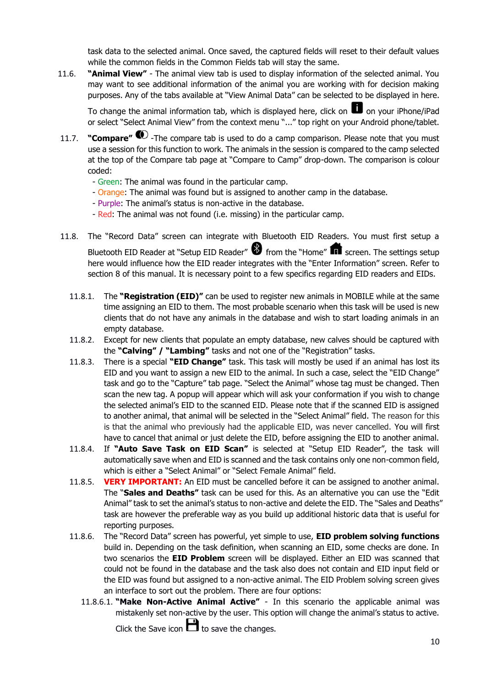task data to the selected animal. Once saved, the captured fields will reset to their default values while the common fields in the Common Fields tab will stay the same.

11.6. **"Animal View"** - The animal view tab is used to display information of the selected animal. You may want to see additional information of the animal you are working with for decision making purposes. Any of the tabs available at "View Animal Data" can be selected to be displayed in here.

To change the animal information tab, which is displayed here, click on  $\blacksquare$  on your iPhone/iPad or select "Select Animal View" from the context menu "..." top right on your Android phone/tablet.

- 11.7. **"Compare"**  $\bullet$  -The compare tab is used to do a camp comparison. Please note that you must use a session for this function to work. The animals in the session is compared to the camp selected at the top of the Compare tab page at "Compare to Camp" drop-down. The comparison is colour coded:
	- Green: The animal was found in the particular camp.
	- Orange: The animal was found but is assigned to another camp in the database.
	- Purple: The animal's status is non-active in the database.
	- Red: The animal was not found (i.e. missing) in the particular camp.
- 11.8. The "Record Data" screen can integrate with Bluetooth EID Readers. You must first setup a Bluetooth EID Reader at "Setup EID Reader"  $\bigcirc$  from the "Home"  $\bigcirc$  screen. The settings setup here would influence how the EID reader integrates with the "Enter Information" screen. Refer to section 8 of this manual. It is necessary point to a few specifics regarding EID readers and EIDs.
	- 11.8.1. The **"Registration (EID)"** can be used to register new animals in MOBILE while at the same time assigning an EID to them. The most probable scenario when this task will be used is new clients that do not have any animals in the database and wish to start loading animals in an empty database.
	- 11.8.2. Except for new clients that populate an empty database, new calves should be captured with the **"Calving" / "Lambing"** tasks and not one of the "Registration" tasks.
	- 11.8.3. There is a special **"EID Change"** task. This task will mostly be used if an animal has lost its EID and you want to assign a new EID to the animal. In such a case, select the "EID Change" task and go to the "Capture" tab page. "Select the Animal" whose tag must be changed. Then scan the new tag. A popup will appear which will ask your conformation if you wish to change the selected animal's EID to the scanned EID. Please note that if the scanned EID is assigned to another animal, that animal will be selected in the "Select Animal" field. The reason for this is that the animal who previously had the applicable EID, was never cancelled. You will first have to cancel that animal or just delete the EID, before assigning the EID to another animal.
	- 11.8.4. If **"Auto Save Task on EID Scan"** is selected at "Setup EID Reader", the task will automatically save when and EID is scanned and the task contains only one non-common field, which is either a "Select Animal" or "Select Female Animal" field.
	- 11.8.5. **VERY IMPORTANT:** An EID must be cancelled before it can be assigned to another animal. The "**Sales and Deaths"** task can be used for this. As an alternative you can use the "Edit Animal" task to set the animal's status to non-active and delete the EID. The "Sales and Deaths" task are however the preferable way as you build up additional historic data that is useful for reporting purposes.
	- 11.8.6. The "Record Data" screen has powerful, yet simple to use, **EID problem solving functions** build in. Depending on the task definition, when scanning an EID, some checks are done. In two scenarios the **EID Problem** screen will be displayed. Either an EID was scanned that could not be found in the database and the task also does not contain and EID input field or the EID was found but assigned to a non-active animal. The EID Problem solving screen gives an interface to sort out the problem. There are four options:
		- 11.8.6.1. **"Make Non-Active Animal Active"** In this scenario the applicable animal was mistakenly set non-active by the user. This option will change the animal's status to active. Click the Save icon  $\Box$  to save the changes.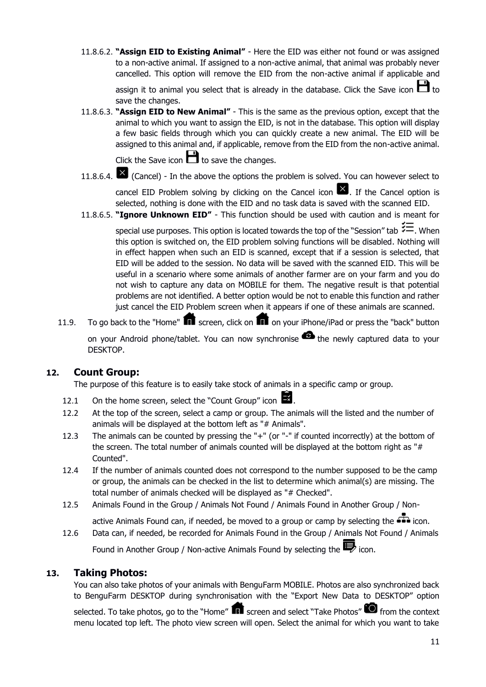11.8.6.2. **"Assign EID to Existing Animal"** - Here the EID was either not found or was assigned to a non-active animal. If assigned to a non-active animal, that animal was probably never cancelled. This option will remove the EID from the non-active animal if applicable and

assign it to animal you select that is already in the database. Click the Save icon  $\Box$  to save the changes.

11.8.6.3. **"Assign EID to New Animal"** - This is the same as the previous option, except that the animal to which you want to assign the EID, is not in the database. This option will display a few basic fields through which you can quickly create a new animal. The EID will be assigned to this animal and, if applicable, remove from the EID from the non-active animal.

Click the Save icon  $\Box$  to save the changes.

11.8.6.4.  $\times$  (Cancel) - In the above the options the problem is solved. You can however select to

cancel EID Problem solving by clicking on the Cancel icon  $\mathbb{X}$ . If the Cancel option is selected, nothing is done with the EID and no task data is saved with the scanned EID.

11.8.6.5. **"Ignore Unknown EID"** - This function should be used with caution and is meant for

special use purposes. This option is located towards the top of the "Session" tab  $\overline{\mathcal{F}}$ . When this option is switched on, the EID problem solving functions will be disabled. Nothing will in effect happen when such an EID is scanned, except that if a session is selected, that EID will be added to the session. No data will be saved with the scanned EID. This will be useful in a scenario where some animals of another farmer are on your farm and you do not wish to capture any data on MOBILE for them. The negative result is that potential problems are not identified. A better option would be not to enable this function and rather just cancel the EID Problem screen when it appears if one of these animals are scanned.

11.9. To go back to the "Home"  $\Box$  screen, click on  $\Box$  on your iPhone/iPad or press the "back" button

on your Android phone/tablet. You can now synchronise  $\bullet$  the newly captured data to your DESKTOP.

# **12. Count Group:**

The purpose of this feature is to easily take stock of animals in a specific camp or group.

- 12.1 On the home screen, select the "Count Group" icon  $\blacksquare$ .
- 12.2 At the top of the screen, select a camp or group. The animals will the listed and the number of animals will be displayed at the bottom left as "# Animals".
- 12.3 The animals can be counted by pressing the "+" (or "-" if counted incorrectly) at the bottom of the screen. The total number of animals counted will be displayed at the bottom right as " $#$ Counted".
- 12.4 If the number of animals counted does not correspond to the number supposed to be the camp or group, the animals can be checked in the list to determine which animal(s) are missing. The total number of animals checked will be displayed as "# Checked".
- 12.5 Animals Found in the Group / Animals Not Found / Animals Found in Another Group / Non-

active Animals Found can, if needed, be moved to a group or camp by selecting the  $\overline{\bullet\bullet}$  icon.

12.6 Data can, if needed, be recorded for Animals Found in the Group / Animals Not Found / Animals Found in Another Group / Non-active Animals Found by selecting the  $\mathbb{F}$  icon.

# **13. Taking Photos:**

You can also take photos of your animals with BenguFarm MOBILE. Photos are also synchronized back to BenguFarm DESKTOP during synchronisation with the "Export New Data to DESKTOP" option selected. To take photos, go to the "Home" **foll** screen and select "Take Photos" **foll** from the context

menu located top left. The photo view screen will open. Select the animal for which you want to take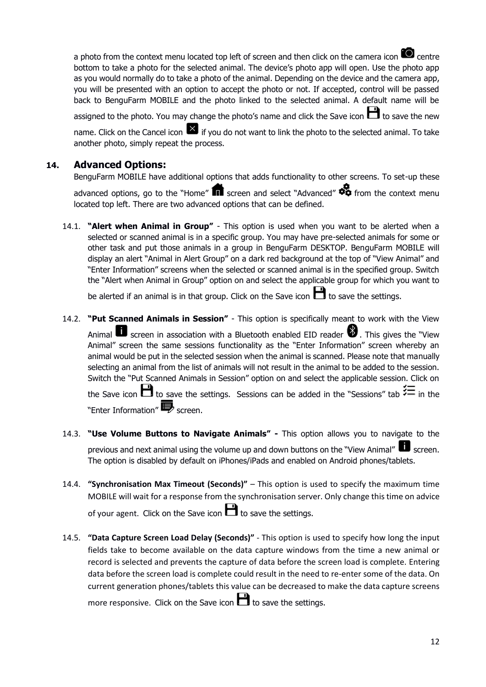a photo from the context menu located top left of screen and then click on the camera icon  $\Box$  centre bottom to take a photo for the selected animal. The device's photo app will open. Use the photo app as you would normally do to take a photo of the animal. Depending on the device and the camera app, you will be presented with an option to accept the photo or not. If accepted, control will be passed back to BenguFarm MOBILE and the photo linked to the selected animal. A default name will be

assigned to the photo. You may change the photo's name and click the Save icon  $\Box$  to save the new name. Click on the Cancel icon  $\overline{X}$  if you do not want to link the photo to the selected animal. To take another photo, simply repeat the process.

# **14. Advanced Options:**

BenguFarm MOBILE have additional options that adds functionality to other screens. To set-up these

advanced options, go to the "Home"  $\blacksquare$  screen and select "Advanced"  $\clubsuit$  from the context menu located top left. There are two advanced options that can be defined.

14.1. **"Alert when Animal in Group"** - This option is used when you want to be alerted when a selected or scanned animal is in a specific group. You may have pre-selected animals for some or other task and put those animals in a group in BenguFarm DESKTOP. BenguFarm MOBILE will display an alert "Animal in Alert Group" on a dark red background at the top of "View Animal" and "Enter Information" screens when the selected or scanned animal is in the specified group. Switch the "Alert when Animal in Group" option on and select the applicable group for which you want to

be alerted if an animal is in that group. Click on the Save icon  $\Box$  to save the settings.

- 14.2. **"Put Scanned Animals in Session"** This option is specifically meant to work with the View Animal  $\Box$  screen in association with a Bluetooth enabled EID reader  $\ddot{\bullet}$ . This gives the "View Animal" screen the same sessions functionality as the "Enter Information" screen whereby an animal would be put in the selected session when the animal is scanned. Please note that manually selecting an animal from the list of animals will not result in the animal to be added to the session. Switch the "Put Scanned Animals in Session" option on and select the applicable session. Click on the Save icon  $\Box$  to save the settings. Sessions can be added in the "Sessions" tab  $\varnothing$  in the "Enter Information" $\blacksquare$  screen.
- 14.3. **"Use Volume Buttons to Navigate Animals" -** This option allows you to navigate to the previous and next animal using the volume up and down buttons on the "View Animal" screen. The option is disabled by default on iPhones/iPads and enabled on Android phones/tablets.
- 14.4. **"Synchronisation Max Timeout (Seconds)"** This option is used to specify the maximum time MOBILE will wait for a response from the synchronisation server. Only change this time on advice of your agent. Click on the Save icon  $\Box$  to save the settings.

14.5. **"Data Capture Screen Load Delay (Seconds)"** - This option is used to specify how long the input fields take to become available on the data capture windows from the time a new animal or record is selected and prevents the capture of data before the screen load is complete. Entering data before the screen load is complete could result in the need to re-enter some of the data. On current generation phones/tablets this value can be decreased to make the data capture screens more responsive. Click on the Save icon  $\Box$  to save the settings.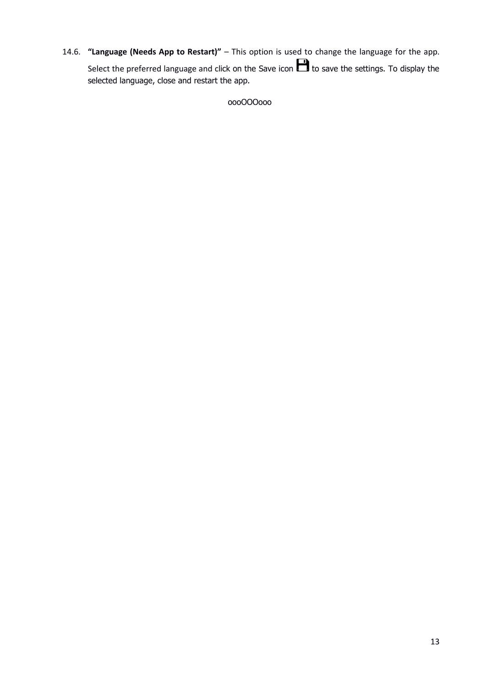14.6. **"Language (Needs App to Restart)"** – This option is used to change the language for the app. Select the preferred language and click on the Save icon  $\Box$  to save the settings. To display the selected language, close and restart the app.

oooOOOooo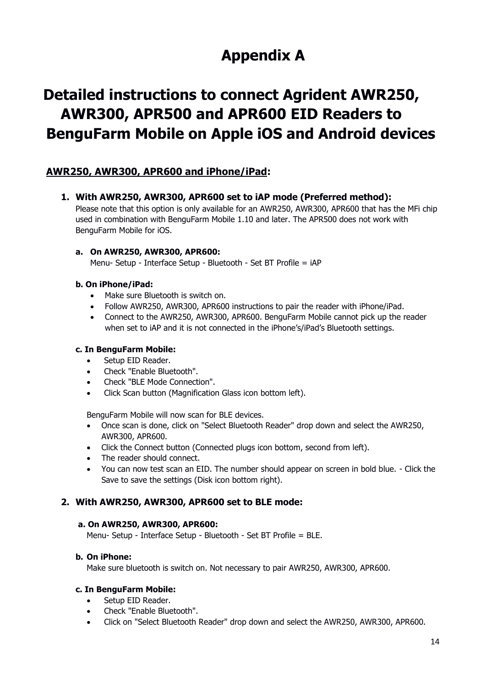# **Appendix A**

# **Detailed instructions to connect Agrident AWR250, AWR300, APR500 and APR600 EID Readers to BenguFarm Mobile on Apple iOS and Android devices**

# **AWR250, AWR300, APR600 and iPhone/iPad:**

**1. With AWR250, AWR300, APR600 set to iAP mode (Preferred method):** 

Please note that this option is only available for an AWR250, AWR300, APR600 that has the MFi chip used in combination with BenguFarm Mobile 1.10 and later. The APR500 does not work with BenguFarm Mobile for iOS.

#### **a. On AWR250, AWR300, APR600:**

Menu- Setup - Interface Setup - Bluetooth - Set BT Profile = iAP

#### **b. On iPhone/iPad:**

- Make sure Bluetooth is switch on.
- Follow AWR250, AWR300, APR600 instructions to pair the reader with iPhone/iPad.
- Connect to the AWR250, AWR300, APR600. BenguFarm Mobile cannot pick up the reader when set to iAP and it is not connected in the iPhone's/iPad's Bluetooth settings.

#### **c. In BenguFarm Mobile:**

- Setup EID Reader.
- Check "Enable Bluetooth".
- Check "BLE Mode Connection".
- Click Scan button (Magnification Glass icon bottom left).

BenguFarm Mobile will now scan for BLE devices.

- Once scan is done, click on "Select Bluetooth Reader" drop down and select the AWR250, AWR300, APR600.
- Click the Connect button (Connected plugs icon bottom, second from left).
- The reader should connect.
- You can now test scan an EID. The number should appear on screen in bold blue. Click the Save to save the settings (Disk icon bottom right).

#### **2. With AWR250, AWR300, APR600 set to BLE mode:**

#### **a. On AWR250, AWR300, APR600:**

Menu- Setup - Interface Setup - Bluetooth - Set BT Profile = BLE.

#### **b. On iPhone:**

Make sure bluetooth is switch on. Not necessary to pair AWR250, AWR300, APR600.

#### **c. In BenguFarm Mobile:**

- Setup EID Reader.
- Check "Enable Bluetooth".
- Click on "Select Bluetooth Reader" drop down and select the AWR250, AWR300, APR600.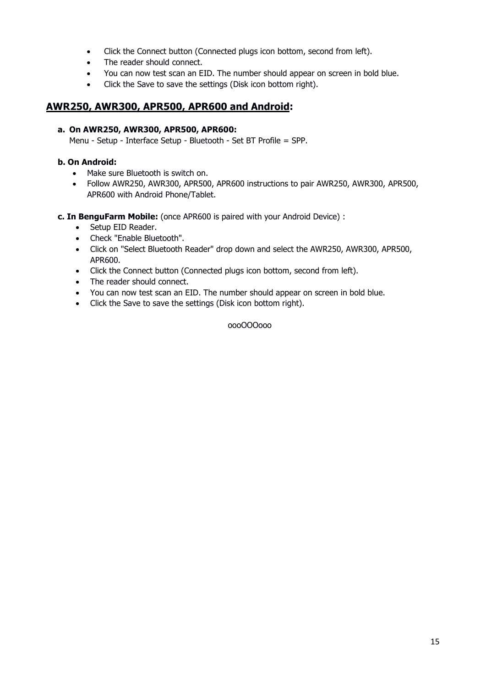- Click the Connect button (Connected plugs icon bottom, second from left).
- The reader should connect.
- You can now test scan an EID. The number should appear on screen in bold blue.
- Click the Save to save the settings (Disk icon bottom right).

### **AWR250, AWR300, APR500, APR600 and Android:**

#### **a. On AWR250, AWR300, APR500, APR600:**

Menu - Setup - Interface Setup - Bluetooth - Set BT Profile = SPP.

#### **b. On Android:**

- Make sure Bluetooth is switch on.
- Follow AWR250, AWR300, APR500, APR600 instructions to pair AWR250, AWR300, APR500, APR600 with Android Phone/Tablet.

#### **c. In BenguFarm Mobile:** (once APR600 is paired with your Android Device) :

- Setup EID Reader.
- Check "Enable Bluetooth".
- Click on "Select Bluetooth Reader" drop down and select the AWR250, AWR300, APR500, APR600.
- Click the Connect button (Connected plugs icon bottom, second from left).
- The reader should connect.
- You can now test scan an EID. The number should appear on screen in bold blue.
- Click the Save to save the settings (Disk icon bottom right).

#### oooOOOooo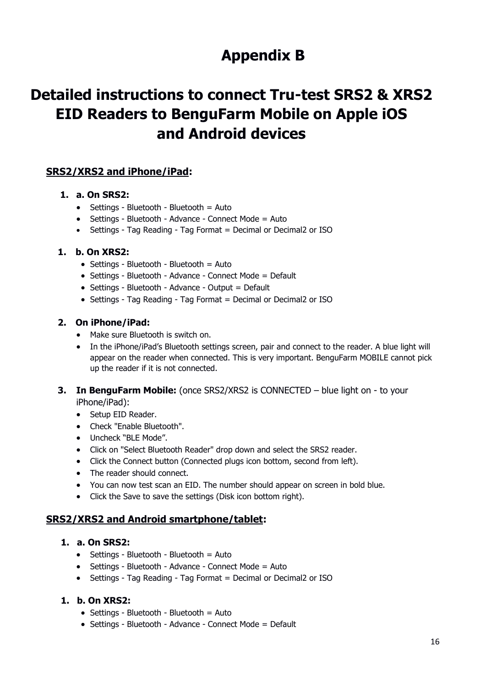# **Appendix B**

# **Detailed instructions to connect Tru-test SRS2 & XRS2 EID Readers to BenguFarm Mobile on Apple iOS and Android devices**

# **SRS2/XRS2 and iPhone/iPad:**

#### **1. a. On SRS2:**

- Settings Bluetooth Bluetooth = Auto
- Settings Bluetooth Advance Connect Mode = Auto
- Settings Tag Reading Tag Format = Decimal or Decimal2 or ISO

#### **1. b. On XRS2:**

- Settings Bluetooth Bluetooth = Auto
- Settings Bluetooth Advance Connect Mode = Default
- Settings Bluetooth Advance Output = Default
- Settings Tag Reading Tag Format = Decimal or Decimal2 or ISO

#### **2. On iPhone/iPad:**

- Make sure Bluetooth is switch on.
- In the iPhone/iPad's Bluetooth settings screen, pair and connect to the reader. A blue light will appear on the reader when connected. This is very important. BenguFarm MOBILE cannot pick up the reader if it is not connected.
- **3. In BenguFarm Mobile:** (once SRS2/XRS2 is CONNECTED blue light on to your iPhone/iPad):

• Setup EID Reader.

- Check "Enable Bluetooth".
- Uncheck "BLE Mode".
- Click on "Select Bluetooth Reader" drop down and select the SRS2 reader.
- Click the Connect button (Connected plugs icon bottom, second from left).
- The reader should connect.
- You can now test scan an EID. The number should appear on screen in bold blue.
- Click the Save to save the settings (Disk icon bottom right).

# **SRS2/XRS2 and Android smartphone/tablet:**

#### **1. a. On SRS2:**

- Settings Bluetooth Bluetooth = Auto
- Settings Bluetooth Advance Connect Mode = Auto
- Settings Tag Reading Tag Format = Decimal or Decimal2 or ISO

#### **1. b. On XRS2:**

- $\bullet$  Settings Bluetooth Bluetooth = Auto
- Settings Bluetooth Advance Connect Mode = Default